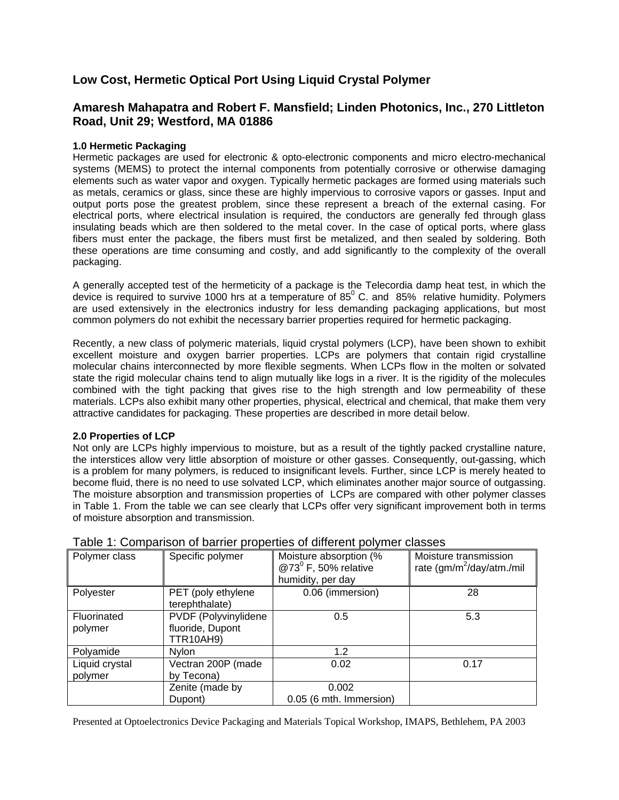# **Low Cost, Hermetic Optical Port Using Liquid Crystal Polymer**

# **Amaresh Mahapatra and Robert F. Mansfield; Linden Photonics, Inc., 270 Littleton Road, Unit 29; Westford, MA 01886**

# **1.0 Hermetic Packaging**

Hermetic packages are used for electronic & opto-electronic components and micro electro-mechanical systems (MEMS) to protect the internal components from potentially corrosive or otherwise damaging elements such as water vapor and oxygen. Typically hermetic packages are formed using materials such as metals, ceramics or glass, since these are highly impervious to corrosive vapors or gasses. Input and output ports pose the greatest problem, since these represent a breach of the external casing. For electrical ports, where electrical insulation is required, the conductors are generally fed through glass insulating beads which are then soldered to the metal cover. In the case of optical ports, where glass fibers must enter the package, the fibers must first be metalized, and then sealed by soldering. Both these operations are time consuming and costly, and add significantly to the complexity of the overall packaging.

A generally accepted test of the hermeticity of a package is the Telecordia damp heat test, in which the device is required to survive 1000 hrs at a temperature of 85 $^{\circ}$  C. and 85% relative humidity. Polymers are used extensively in the electronics industry for less demanding packaging applications, but most common polymers do not exhibit the necessary barrier properties required for hermetic packaging.

Recently, a new class of polymeric materials, liquid crystal polymers (LCP), have been shown to exhibit excellent moisture and oxygen barrier properties. LCPs are polymers that contain rigid crystalline molecular chains interconnected by more flexible segments. When LCPs flow in the molten or solvated state the rigid molecular chains tend to align mutually like logs in a river. It is the rigidity of the molecules combined with the tight packing that gives rise to the high strength and low permeability of these materials. LCPs also exhibit many other properties, physical, electrical and chemical, that make them very attractive candidates for packaging. These properties are described in more detail below.

# **2.0 Properties of LCP**

Not only are LCPs highly impervious to moisture, but as a result of the tightly packed crystalline nature, the interstices allow very little absorption of moisture or other gasses. Consequently, out-gassing, which is a problem for many polymers, is reduced to insignificant levels. Further, since LCP is merely heated to become fluid, there is no need to use solvated LCP, which eliminates another major source of outgassing. The moisture absorption and transmission properties of LCPs are compared with other polymer classes in Table 1. From the table we can see clearly that LCPs offer very significant improvement both in terms of moisture absorption and transmission.

| Polymer class             | Specific polymer                                             | Moisture absorption (%<br>@73 <sup>0</sup> F, 50% relative<br>humidity, per day | Moisture transmission<br>rate (gm/m <sup>2</sup> /day/atm./mil |
|---------------------------|--------------------------------------------------------------|---------------------------------------------------------------------------------|----------------------------------------------------------------|
| Polyester                 | PET (poly ethylene<br>terephthalate)                         | 0.06 (immersion)                                                                | 28                                                             |
| Fluorinated<br>polymer    | PVDF (Polyvinylidene<br>fluoride, Dupont<br><b>TTR10AH9)</b> | 0.5                                                                             | 5.3                                                            |
| Polyamide                 | <b>Nvlon</b>                                                 | 1.2                                                                             |                                                                |
| Liquid crystal<br>polymer | Vectran 200P (made<br>by Tecona)                             | 0.02                                                                            | 0.17                                                           |
|                           | Zenite (made by<br>Dupont)                                   | 0.002<br>0.05 (6 mth. Immersion)                                                |                                                                |

# Table 1: Comparison of barrier properties of different polymer classes

Presented at Optoelectronics Device Packaging and Materials Topical Workshop, IMAPS, Bethlehem, PA 2003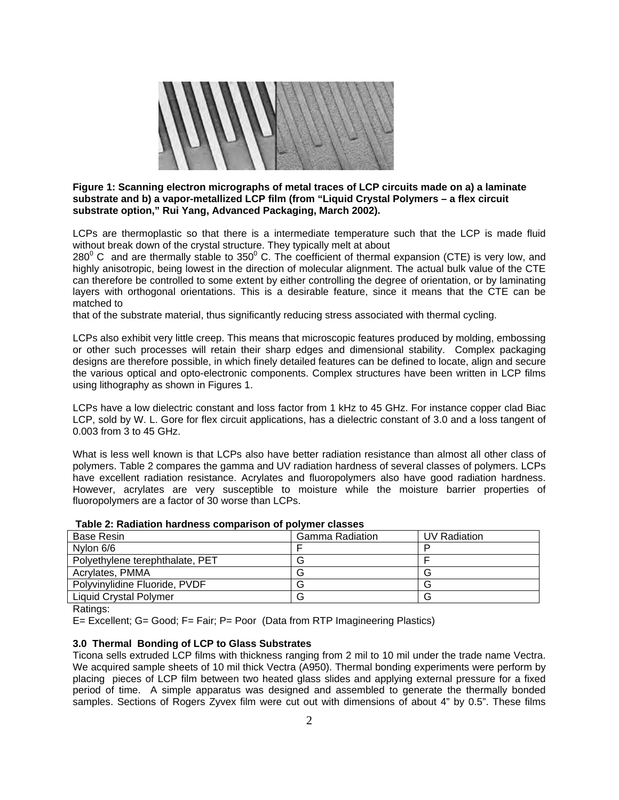

## **Figure 1: Scanning electron micrographs of metal traces of LCP circuits made on a) a laminate substrate and b) a vapor-metallized LCP film (from "Liquid Crystal Polymers – a flex circuit substrate option," Rui Yang, Advanced Packaging, March 2002).**

LCPs are thermoplastic so that there is a intermediate temperature such that the LCP is made fluid without break down of the crystal structure. They typically melt at about

280 $\mathrm{^0}$  C and are thermally stable to 350 $\mathrm{^0}$  C. The coefficient of thermal expansion (CTE) is very low, and highly anisotropic, being lowest in the direction of molecular alignment. The actual bulk value of the CTE can therefore be controlled to some extent by either controlling the degree of orientation, or by laminating layers with orthogonal orientations. This is a desirable feature, since it means that the CTE can be matched to

that of the substrate material, thus significantly reducing stress associated with thermal cycling.

LCPs also exhibit very little creep. This means that microscopic features produced by molding, embossing or other such processes will retain their sharp edges and dimensional stability. Complex packaging designs are therefore possible, in which finely detailed features can be defined to locate, align and secure the various optical and opto-electronic components. Complex structures have been written in LCP films using lithography as shown in Figures 1.

LCPs have a low dielectric constant and loss factor from 1 kHz to 45 GHz. For instance copper clad Biac LCP, sold by W. L. Gore for flex circuit applications, has a dielectric constant of 3.0 and a loss tangent of 0.003 from 3 to 45 GHz.

What is less well known is that LCPs also have better radiation resistance than almost all other class of polymers. Table 2 compares the gamma and UV radiation hardness of several classes of polymers. LCPs have excellent radiation resistance. Acrylates and fluoropolymers also have good radiation hardness. However, acrylates are very susceptible to moisture while the moisture barrier properties of fluoropolymers are a factor of 30 worse than LCPs.

| Base Resin                      | Gamma Radiation | UV Radiation |
|---------------------------------|-----------------|--------------|
| Nylon 6/6                       |                 |              |
| Polyethylene terephthalate, PET |                 |              |
| Acrylates, PMMA                 |                 |              |
| Polyvinylidine Fluoride, PVDF   |                 |              |
| <b>Liquid Crystal Polymer</b>   |                 |              |

Ratings:

E= Excellent; G= Good; F= Fair; P= Poor (Data from RTP Imagineering Plastics)

# **3.0 Thermal Bonding of LCP to Glass Substrates**

Ticona sells extruded LCP films with thickness ranging from 2 mil to 10 mil under the trade name Vectra. We acquired sample sheets of 10 mil thick Vectra (A950). Thermal bonding experiments were perform by placing pieces of LCP film between two heated glass slides and applying external pressure for a fixed period of time. A simple apparatus was designed and assembled to generate the thermally bonded samples. Sections of Rogers Zyvex film were cut out with dimensions of about 4" by 0.5". These films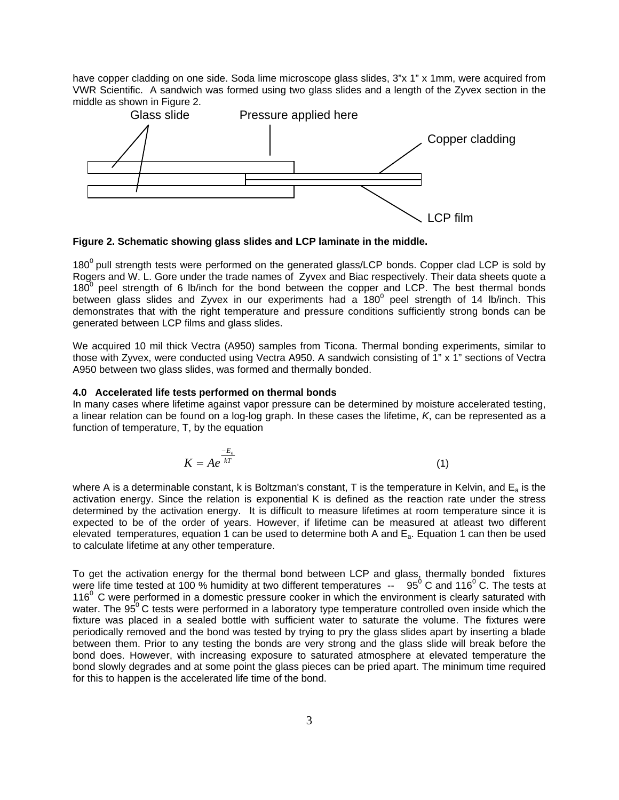have copper cladding on one side. Soda lime microscope glass slides, 3"x 1" x 1mm, were acquired from VWR Scientific. A sandwich was formed using two glass slides and a length of the Zyvex section in the middle as shown in Figure 2.



**Figure 2. Schematic showing glass slides and LCP laminate in the middle.** 

 $180<sup>0</sup>$  pull strength tests were performed on the generated glass/LCP bonds. Copper clad LCP is sold by Rogers and W. L. Gore under the trade names of Zyvex and Biac respectively. Their data sheets quote a 180 $^{\circ}$  peel strength of 6 lb/inch for the bond between the copper and LCP. The best thermal bonds between glass slides and Zyvex in our experiments had a  $180^{\circ}$  peel strength of 14 lb/inch. This demonstrates that with the right temperature and pressure conditions sufficiently strong bonds can be generated between LCP films and glass slides.

We acquired 10 mil thick Vectra (A950) samples from Ticona. Thermal bonding experiments, similar to those with Zyvex, were conducted using Vectra A950. A sandwich consisting of 1" x 1" sections of Vectra A950 between two glass slides, was formed and thermally bonded.

#### **4.0 Accelerated life tests performed on thermal bonds**

In many cases where lifetime against vapor pressure can be determined by moisture accelerated testing, a linear relation can be found on a log-log graph. In these cases the lifetime, *K*, can be represented as a function of temperature, T, by the equation

$$
K = Ae^{\frac{-E_a}{kT}}
$$
 (1)

where A is a determinable constant, k is Boltzman's constant, T is the temperature in Kelvin, and  $E_a$  is the activation energy. Since the relation is exponential K is defined as the reaction rate under the stress determined by the activation energy. It is difficult to measure lifetimes at room temperature since it is expected to be of the order of years. However, if lifetime can be measured at atleast two different elevated temperatures, equation 1 can be used to determine both A and  $E_a$ . Equation 1 can then be used to calculate lifetime at any other temperature.

To get the activation energy for the thermal bond between LCP and glass, thermally bonded fixtures were life time tested at 100 % humidity at two different temperatures  $-$  95<sup>0</sup> C and 116<sup>0</sup> C. The tests at  $116<sup>o</sup>$  C were performed in a domestic pressure cooker in which the environment is clearly saturated with water. The  $95^{\circ}$  C tests were performed in a laboratory type temperature controlled oven inside which the fixture was placed in a sealed bottle with sufficient water to saturate the volume. The fixtures were periodically removed and the bond was tested by trying to pry the glass slides apart by inserting a blade between them. Prior to any testing the bonds are very strong and the glass slide will break before the bond does. However, with increasing exposure to saturated atmosphere at elevated temperature the bond slowly degrades and at some point the glass pieces can be pried apart. The minimum time required for this to happen is the accelerated life time of the bond.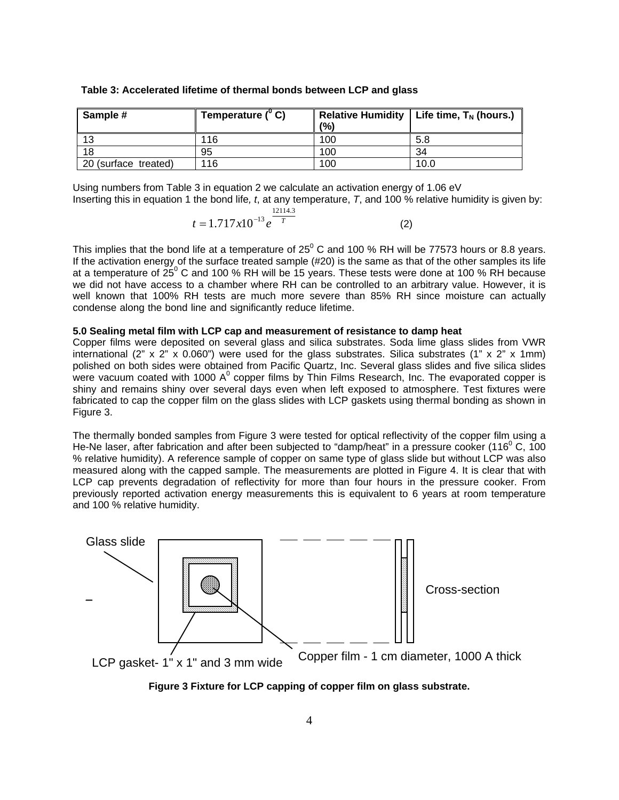| Sample #             | Temperature $(^{\circ}$ C) |     | Relative Humidity   Life time, $T_N$ (hours.) |
|----------------------|----------------------------|-----|-----------------------------------------------|
|                      |                            | (%) |                                               |
| 13                   | 116                        | 100 | 5.8                                           |
| 18                   | 95                         | 100 | 34                                            |
| 20 (surface treated) | 116                        | 100 | 10.0                                          |

 **Table 3: Accelerated lifetime of thermal bonds between LCP and glass** 

Using numbers from Table 3 in equation 2 we calculate an activation energy of 1.06 eV Inserting this in equation 1 the bond life*, t*, at any temperature, *T*, and 100 % relative humidity is given by:  $12114.2$ 

$$
t = 1.717x10^{-13}e^{\frac{12.144.5}{T}}
$$
 (2)

This implies that the bond life at a temperature of 25<sup>0</sup> C and 100 % RH will be 77573 hours or 8.8 years. If the activation energy of the surface treated sample (#20) is the same as that of the other samples its life at a temperature of  $25^{\circ}$  C and 100 % RH will be 15 years. These tests were done at 100 % RH because we did not have access to a chamber where RH can be controlled to an arbitrary value. However, it is well known that 100% RH tests are much more severe than 85% RH since moisture can actually condense along the bond line and significantly reduce lifetime.

#### **5.0 Sealing metal film with LCP cap and measurement of resistance to damp heat**

Copper films were deposited on several glass and silica substrates. Soda lime glass slides from VWR international (2" x 2" x 0.060") were used for the glass substrates. Silica substrates (1" x 2" x 1mm) polished on both sides were obtained from Pacific Quartz, Inc. Several glass slides and five silica slides were vacuum coated with 1000 A<sup>0</sup> copper films by Thin Films Research, Inc. The evaporated copper is shiny and remains shiny over several days even when left exposed to atmosphere. Test fixtures were fabricated to cap the copper film on the glass slides with LCP gaskets using thermal bonding as shown in Figure 3.

The thermally bonded samples from Figure 3 were tested for optical reflectivity of the copper film using a He-Ne laser, after fabrication and after been subjected to "damp/heat" in a pressure cooker (116 $^{\circ}$  C, 100 % relative humidity). A reference sample of copper on same type of glass slide but without LCP was also measured along with the capped sample. The measurements are plotted in Figure 4. It is clear that with LCP cap prevents degradation of reflectivity for more than four hours in the pressure cooker. From previously reported activation energy measurements this is equivalent to 6 years at room temperature and 100 % relative humidity.



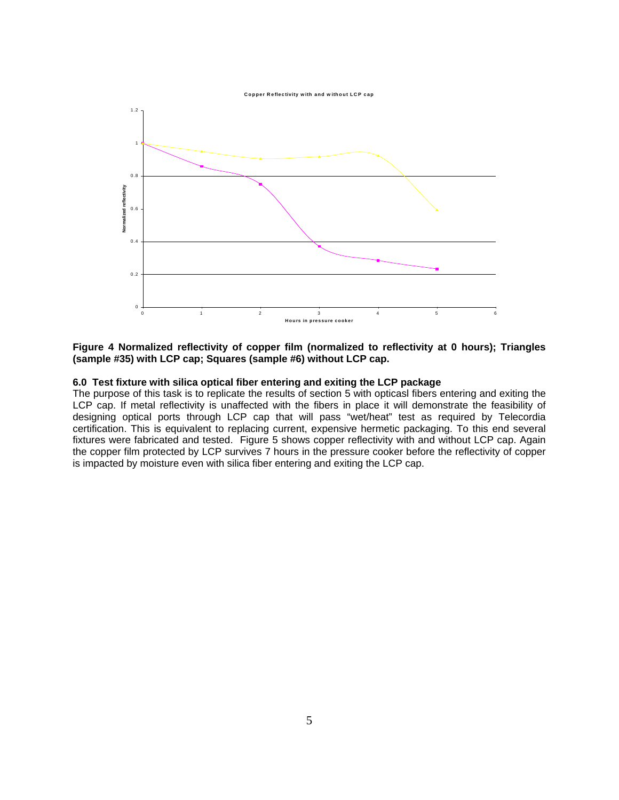



**Figure 4 Normalized reflectivity of copper film (normalized to reflectivity at 0 hours); Triangles (sample #35) with LCP cap; Squares (sample #6) without LCP cap.** 

### **6.0 Test fixture with silica optical fiber entering and exiting the LCP package**

The purpose of this task is to replicate the results of section 5 with opticasl fibers entering and exiting the LCP cap. If metal reflectivity is unaffected with the fibers in place it will demonstrate the feasibility of designing optical ports through LCP cap that will pass "wet/heat" test as required by Telecordia certification. This is equivalent to replacing current, expensive hermetic packaging. To this end several fixtures were fabricated and tested. Figure 5 shows copper reflectivity with and without LCP cap. Again the copper film protected by LCP survives 7 hours in the pressure cooker before the reflectivity of copper is impacted by moisture even with silica fiber entering and exiting the LCP cap.